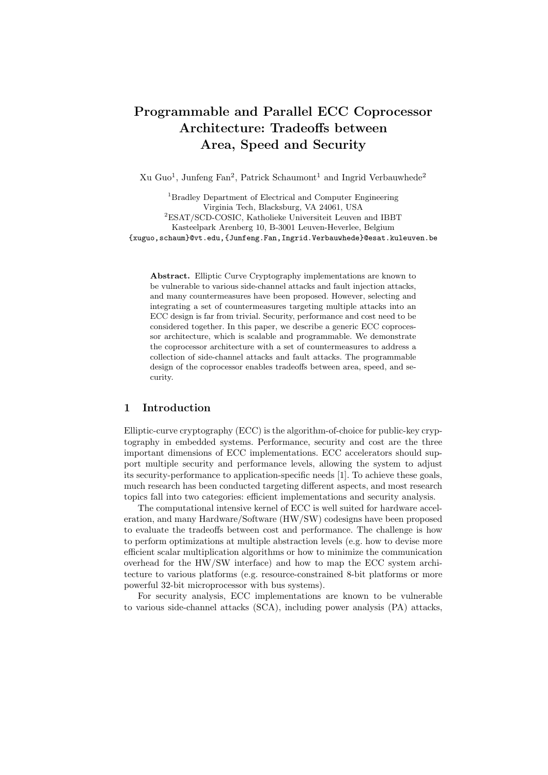# Programmable and Parallel ECC Coprocessor Architecture: Tradeoffs between Area, Speed and Security

Xu Guo<sup>1</sup>, Junfeng Fan<sup>2</sup>, Patrick Schaumont<sup>1</sup> and Ingrid Verbauwhede<sup>2</sup>

<sup>1</sup>Bradley Department of Electrical and Computer Engineering Virginia Tech, Blacksburg, VA 24061, USA <sup>2</sup>ESAT/SCD-COSIC, Katholieke Universiteit Leuven and IBBT Kasteelpark Arenberg 10, B-3001 Leuven-Heverlee, Belgium {xuguo,schaum}@vt.edu,{Junfeng.Fan,Ingrid.Verbauwhede}@esat.kuleuven.be

Abstract. Elliptic Curve Cryptography implementations are known to be vulnerable to various side-channel attacks and fault injection attacks, and many countermeasures have been proposed. However, selecting and integrating a set of countermeasures targeting multiple attacks into an ECC design is far from trivial. Security, performance and cost need to be considered together. In this paper, we describe a generic ECC coprocessor architecture, which is scalable and programmable. We demonstrate the coprocessor architecture with a set of countermeasures to address a collection of side-channel attacks and fault attacks. The programmable design of the coprocessor enables tradeoffs between area, speed, and security.

# 1 Introduction

Elliptic-curve cryptography (ECC) is the algorithm-of-choice for public-key cryptography in embedded systems. Performance, security and cost are the three important dimensions of ECC implementations. ECC accelerators should support multiple security and performance levels, allowing the system to adjust its security-performance to application-specific needs [1]. To achieve these goals, much research has been conducted targeting different aspects, and most research topics fall into two categories: efficient implementations and security analysis.

The computational intensive kernel of ECC is well suited for hardware acceleration, and many Hardware/Software (HW/SW) codesigns have been proposed to evaluate the tradeoffs between cost and performance. The challenge is how to perform optimizations at multiple abstraction levels (e.g. how to devise more efficient scalar multiplication algorithms or how to minimize the communication overhead for the HW/SW interface) and how to map the ECC system architecture to various platforms (e.g. resource-constrained 8-bit platforms or more powerful 32-bit microprocessor with bus systems).

For security analysis, ECC implementations are known to be vulnerable to various side-channel attacks (SCA), including power analysis (PA) attacks,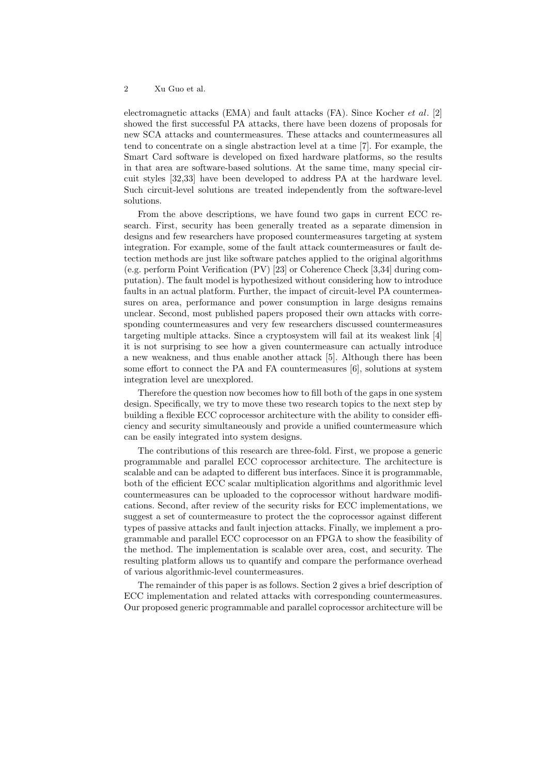electromagnetic attacks (EMA) and fault attacks (FA). Since Kocher *et al.* [2] showed the first successful PA attacks, there have been dozens of proposals for new SCA attacks and countermeasures. These attacks and countermeasures all tend to concentrate on a single abstraction level at a time [7]. For example, the Smart Card software is developed on fixed hardware platforms, so the results in that area are software-based solutions. At the same time, many special circuit styles [32,33] have been developed to address PA at the hardware level. Such circuit-level solutions are treated independently from the software-level solutions.

From the above descriptions, we have found two gaps in current ECC research. First, security has been generally treated as a separate dimension in designs and few researchers have proposed countermeasures targeting at system integration. For example, some of the fault attack countermeasures or fault detection methods are just like software patches applied to the original algorithms (e.g. perform Point Verification (PV) [23] or Coherence Check [3,34] during computation). The fault model is hypothesized without considering how to introduce faults in an actual platform. Further, the impact of circuit-level PA countermeasures on area, performance and power consumption in large designs remains unclear. Second, most published papers proposed their own attacks with corresponding countermeasures and very few researchers discussed countermeasures targeting multiple attacks. Since a cryptosystem will fail at its weakest link [4] it is not surprising to see how a given countermeasure can actually introduce a new weakness, and thus enable another attack [5]. Although there has been some effort to connect the PA and FA countermeasures [6], solutions at system integration level are unexplored.

Therefore the question now becomes how to fill both of the gaps in one system design. Specifically, we try to move these two research topics to the next step by building a flexible ECC coprocessor architecture with the ability to consider efficiency and security simultaneously and provide a unified countermeasure which can be easily integrated into system designs.

The contributions of this research are three-fold. First, we propose a generic programmable and parallel ECC coprocessor architecture. The architecture is scalable and can be adapted to different bus interfaces. Since it is programmable, both of the efficient ECC scalar multiplication algorithms and algorithmic level countermeasures can be uploaded to the coprocessor without hardware modifications. Second, after review of the security risks for ECC implementations, we suggest a set of countermeasure to protect the the coprocessor against different types of passive attacks and fault injection attacks. Finally, we implement a programmable and parallel ECC coprocessor on an FPGA to show the feasibility of the method. The implementation is scalable over area, cost, and security. The resulting platform allows us to quantify and compare the performance overhead of various algorithmic-level countermeasures.

The remainder of this paper is as follows. Section 2 gives a brief description of ECC implementation and related attacks with corresponding countermeasures. Our proposed generic programmable and parallel coprocessor architecture will be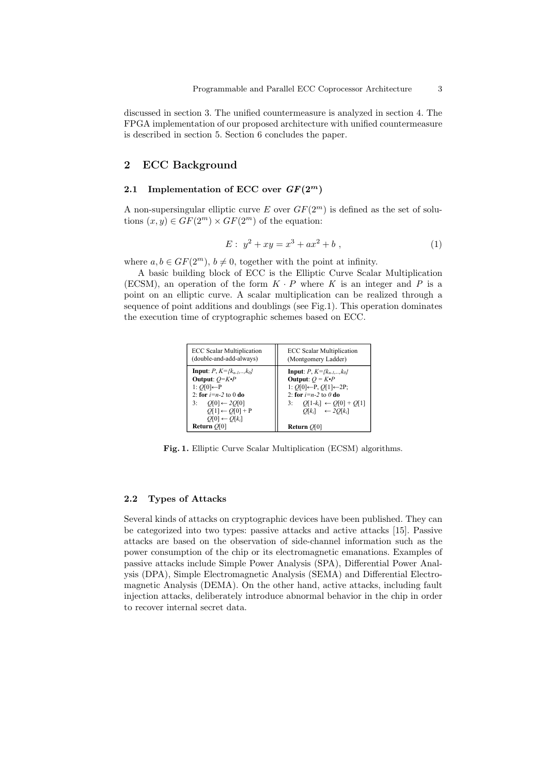discussed in section 3. The unified countermeasure is analyzed in section 4. The FPGA implementation of our proposed architecture with unified countermeasure is described in section 5. Section 6 concludes the paper.

# 2 ECC Background

# 2.1 Implementation of ECC over  $GF(2^m)$

A non-supersingular elliptic curve E over  $GF(2<sup>m</sup>)$  is defined as the set of solutions  $(x, y) \in GF(2^m) \times GF(2^m)$  of the equation:

$$
E: y^2 + xy = x^3 + ax^2 + b,
$$
 (1)

where  $a, b \in GF(2^m), b \neq 0$ , together with the point at infinity.

A basic building block of ECC is the Elliptic Curve Scalar Multiplication (ECSM), an operation of the form  $K \cdot P$  where K is an integer and P is a point on an elliptic curve. A scalar multiplication can be realized through a sequence of point additions and doublings (see Fig.1). This operation dominates the execution time of cryptographic schemes based on ECC.

| <b>ECC Scalar Multiplication</b>         | <b>ECC</b> Scalar Multiplication                |
|------------------------------------------|-------------------------------------------------|
| (double-and-add-always)                  | (Montgomery Ladder)                             |
| <b>Input</b> : $P, K = \{k_{n-1},,k_0\}$ | <b>Input</b> : $P, K = \{k_{n-1},,k_0\}$        |
| Output: $O=K\cdot P$                     | Output: $Q = K \cdot P$                         |
| 1: $O[0]$ ←P                             | 1: $O[0] \leftarrow P$ , $O[1] \leftarrow 2P$ ; |
| 2: for $i=n-2$ to 0 do                   | 2: for $i=n-2$ to 0 do                          |
| 3: $O[0] \leftarrow 2O[0]$               | $Q[1-k_i] \leftarrow Q[0] + Q[1]$               |
| $O[1] \leftarrow O[0] + P$               | 3:                                              |
| $O[0] \leftarrow O[k_i]$                 | $O[k_i] \leftarrow 2O[k_i]$                     |
| <b>Return</b> $O[0]$                     | <b>Return</b> $O[0]$                            |

Fig. 1. Elliptic Curve Scalar Multiplication (ECSM) algorithms.

#### 2.2 Types of Attacks

Several kinds of attacks on cryptographic devices have been published. They can be categorized into two types: passive attacks and active attacks [15]. Passive attacks are based on the observation of side-channel information such as the power consumption of the chip or its electromagnetic emanations. Examples of passive attacks include Simple Power Analysis (SPA), Differential Power Analysis (DPA), Simple Electromagnetic Analysis (SEMA) and Differential Electromagnetic Analysis (DEMA). On the other hand, active attacks, including fault injection attacks, deliberately introduce abnormal behavior in the chip in order to recover internal secret data.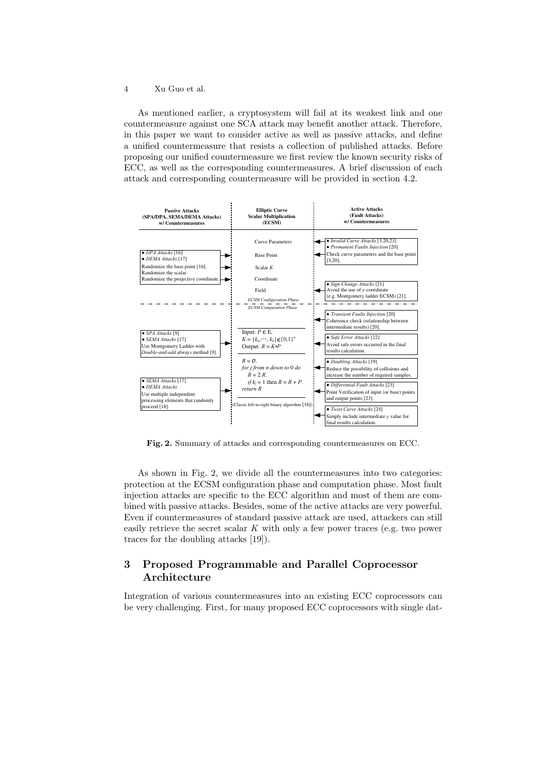As mentioned earlier, a cryptosystem will fail at its weakest link and one countermeasure against one SCA attack may benefit another attack. Therefore, in this paper we want to consider active as well as passive attacks, and define a unified countermeasure that resists a collection of published attacks. Before proposing our unified countermeasure we first review the known security risks of ECC, as well as the corresponding countermeasures. A brief discussion of each attack and corresponding countermeasure will be provided in section 4.2.



Fig. 2. Summary of attacks and corresponding countermeasures on ECC.

As shown in Fig. 2, we divide all the countermeasures into two categories: protection at the ECSM configuration phase and computation phase. Most fault injection attacks are specific to the ECC algorithm and most of them are combined with passive attacks. Besides, some of the active attacks are very powerful. Even if countermeasures of standard passive attack are used, attackers can still easily retrieve the secret scalar  $K$  with only a few power traces (e.g. two power traces for the doubling attacks [19]).

# 3 Proposed Programmable and Parallel Coprocessor Architecture

Integration of various countermeasures into an existing ECC coprocessors can be very challenging. First, for many proposed ECC coprocessors with single dat-

<sup>4</sup> Xu Guo et al.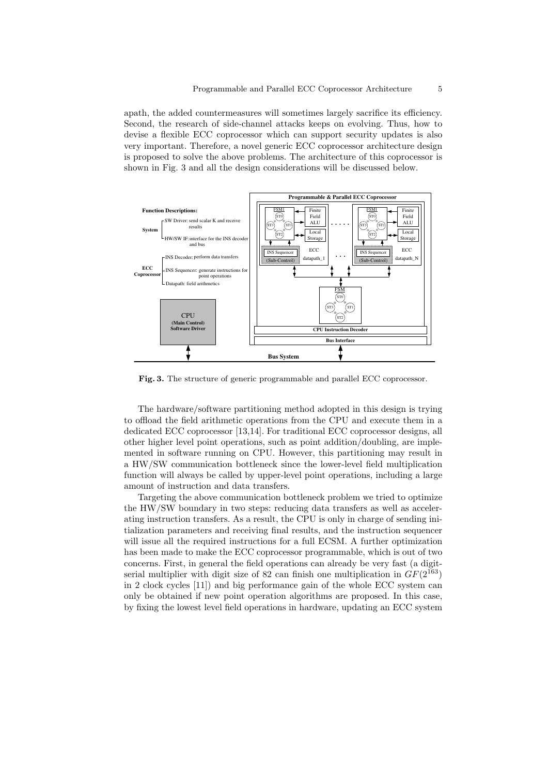apath, the added countermeasures will sometimes largely sacrifice its efficiency. Second, the research of side-channel attacks keeps on evolving. Thus, how to devise a flexible ECC coprocessor which can support security updates is also very important. Therefore, a novel generic ECC coprocessor architecture design is proposed to solve the above problems. The architecture of this coprocessor is shown in Fig. 3 and all the design considerations will be discussed below.



Fig. 3. The structure of generic programmable and parallel ECC coprocessor.

The hardware/software partitioning method adopted in this design is trying to offload the field arithmetic operations from the CPU and execute them in a dedicated ECC coprocessor [13,14]. For traditional ECC coprocessor designs, all other higher level point operations, such as point addition/doubling, are implemented in software running on CPU. However, this partitioning may result in a HW/SW communication bottleneck since the lower-level field multiplication function will always be called by upper-level point operations, including a large amount of instruction and data transfers.

Targeting the above communication bottleneck problem we tried to optimize the HW/SW boundary in two steps: reducing data transfers as well as accelerating instruction transfers. As a result, the CPU is only in charge of sending initialization parameters and receiving final results, and the instruction sequencer will issue all the required instructions for a full ECSM. A further optimization has been made to make the ECC coprocessor programmable, which is out of two concerns. First, in general the field operations can already be very fast (a digitserial multiplier with digit size of 82 can finish one multiplication in  $GF(2^{163})$ in 2 clock cycles [11]) and big performance gain of the whole ECC system can only be obtained if new point operation algorithms are proposed. In this case, by fixing the lowest level field operations in hardware, updating an ECC system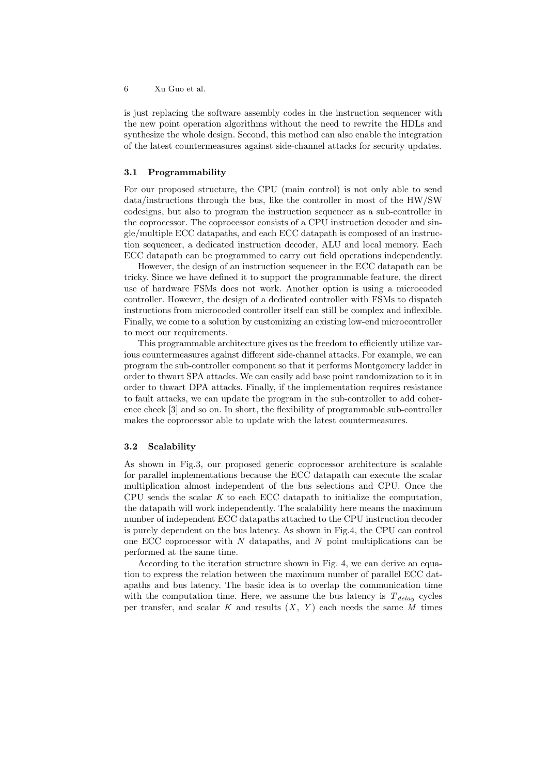is just replacing the software assembly codes in the instruction sequencer with the new point operation algorithms without the need to rewrite the HDLs and synthesize the whole design. Second, this method can also enable the integration of the latest countermeasures against side-channel attacks for security updates.

#### 3.1 Programmability

For our proposed structure, the CPU (main control) is not only able to send data/instructions through the bus, like the controller in most of the HW/SW codesigns, but also to program the instruction sequencer as a sub-controller in the coprocessor. The coprocessor consists of a CPU instruction decoder and single/multiple ECC datapaths, and each ECC datapath is composed of an instruction sequencer, a dedicated instruction decoder, ALU and local memory. Each ECC datapath can be programmed to carry out field operations independently.

However, the design of an instruction sequencer in the ECC datapath can be tricky. Since we have defined it to support the programmable feature, the direct use of hardware FSMs does not work. Another option is using a microcoded controller. However, the design of a dedicated controller with FSMs to dispatch instructions from microcoded controller itself can still be complex and inflexible. Finally, we come to a solution by customizing an existing low-end microcontroller to meet our requirements.

This programmable architecture gives us the freedom to efficiently utilize various countermeasures against different side-channel attacks. For example, we can program the sub-controller component so that it performs Montgomery ladder in order to thwart SPA attacks. We can easily add base point randomization to it in order to thwart DPA attacks. Finally, if the implementation requires resistance to fault attacks, we can update the program in the sub-controller to add coherence check [3] and so on. In short, the flexibility of programmable sub-controller makes the coprocessor able to update with the latest countermeasures.

### 3.2 Scalability

As shown in Fig.3, our proposed generic coprocessor architecture is scalable for parallel implementations because the ECC datapath can execute the scalar multiplication almost independent of the bus selections and CPU. Once the CPU sends the scalar  $K$  to each ECC datapath to initialize the computation, the datapath will work independently. The scalability here means the maximum number of independent ECC datapaths attached to the CPU instruction decoder is purely dependent on the bus latency. As shown in Fig.4, the CPU can control one ECC coprocessor with  $N$  datapaths, and  $N$  point multiplications can be performed at the same time.

According to the iteration structure shown in Fig. 4, we can derive an equation to express the relation between the maximum number of parallel ECC datapaths and bus latency. The basic idea is to overlap the communication time with the computation time. Here, we assume the bus latency is  $T_{delay}$  cycles per transfer, and scalar  $K$  and results  $(X, Y)$  each needs the same  $M$  times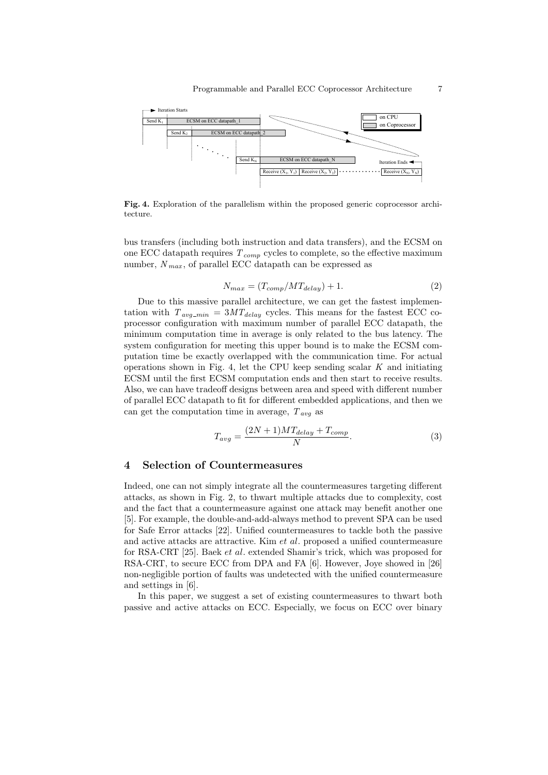

Fig. 4. Exploration of the parallelism within the proposed generic coprocessor architecture.

bus transfers (including both instruction and data transfers), and the ECSM on one ECC datapath requires  $T_{comp}$  cycles to complete, so the effective maximum number,  $N_{max}$ , of parallel ECC datapath can be expressed as

$$
N_{max} = (T_{comp}/MT_{delay}) + 1.
$$
 (2)

Due to this massive parallel architecture, we can get the fastest implementation with  $T_{avg\_min} = 3MT_{delay}$  cycles. This means for the fastest ECC coprocessor configuration with maximum number of parallel ECC datapath, the minimum computation time in average is only related to the bus latency. The system configuration for meeting this upper bound is to make the ECSM computation time be exactly overlapped with the communication time. For actual operations shown in Fig. 4, let the CPU keep sending scalar  $K$  and initiating ECSM until the first ECSM computation ends and then start to receive results. Also, we can have tradeoff designs between area and speed with different number of parallel ECC datapath to fit for different embedded applications, and then we can get the computation time in average,  $T_{avg}$  as

$$
T_{avg} = \frac{(2N+1)MT_{delay} + T_{comp}}{N}.
$$
\n(3)

### 4 Selection of Countermeasures

Indeed, one can not simply integrate all the countermeasures targeting different attacks, as shown in Fig. 2, to thwart multiple attacks due to complexity, cost and the fact that a countermeasure against one attack may benefit another one [5]. For example, the double-and-add-always method to prevent SPA can be used for Safe Error attacks [22]. Unified countermeasures to tackle both the passive and active attacks are attractive. Kim et al. proposed a unified countermeasure for RSA-CRT [25]. Baek et al. extended Shamir's trick, which was proposed for RSA-CRT, to secure ECC from DPA and FA [6]. However, Joye showed in [26] non-negligible portion of faults was undetected with the unified countermeasure and settings in [6].

In this paper, we suggest a set of existing countermeasures to thwart both passive and active attacks on ECC. Especially, we focus on ECC over binary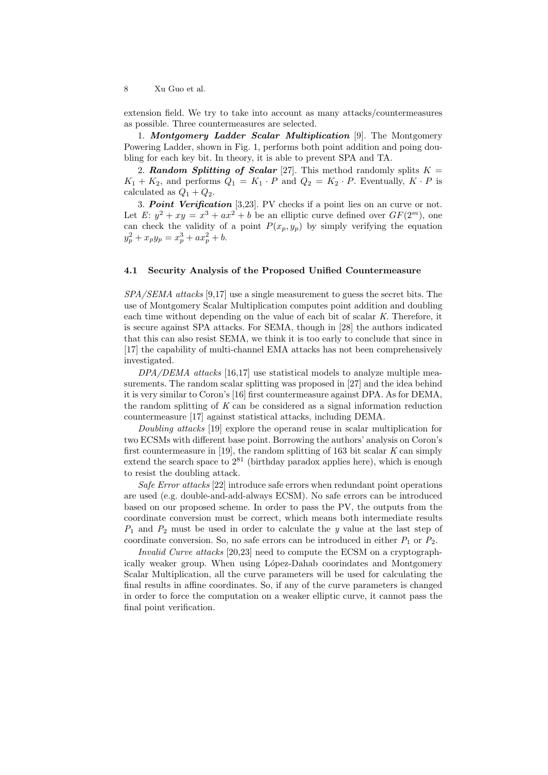extension field. We try to take into account as many attacks/countermeasures as possible. Three countermeasures are selected.

1. Montgomery Ladder Scalar Multiplication [9]. The Montgomery Powering Ladder, shown in Fig. 1, performs both point addition and poing doubling for each key bit. In theory, it is able to prevent SPA and TA.

2. Random Splitting of Scalar [27]. This method randomly splits  $K =$  $K_1 + K_2$ , and performs  $Q_1 = K_1 \cdot P$  and  $Q_2 = K_2 \cdot P$ . Eventually,  $K \cdot P$  is calculated as  $Q_1 + Q_2$ .

3. Point Verification [3,23]. PV checks if a point lies on an curve or not. Let  $E: y^2 + xy = x^3 + ax^2 + b$  be an elliptic curve defined over  $GF(2^m)$ , one can check the validity of a point  $P(x_p, y_p)$  by simply verifying the equation  $y_p^2 + x_p y_p = x_p^3 + a x_p^2 + b.$ 

### 4.1 Security Analysis of the Proposed Unified Countermeasure

 $SPA/SEMA$  attacks [9,17] use a single measurement to guess the secret bits. The use of Montgomery Scalar Multiplication computes point addition and doubling each time without depending on the value of each bit of scalar K. Therefore, it is secure against SPA attacks. For SEMA, though in [28] the authors indicated that this can also resist SEMA, we think it is too early to conclude that since in [17] the capability of multi-channel EMA attacks has not been comprehensively investigated.

DPA/DEMA attacks [16,17] use statistical models to analyze multiple measurements. The random scalar splitting was proposed in [27] and the idea behind it is very similar to Coron's [16] first countermeasure against DPA. As for DEMA, the random splitting of  $K$  can be considered as a signal information reduction countermeasure [17] against statistical attacks, including DEMA.

Doubling attacks [19] explore the operand reuse in scalar multiplication for two ECSMs with different base point. Borrowing the authors' analysis on Coron's first countermeasure in [19], the random splitting of 163 bit scalar  $K$  can simply extend the search space to  $2^{81}$  (birthday paradox applies here), which is enough to resist the doubling attack.

Safe Error attacks [22] introduce safe errors when redundant point operations are used (e.g. double-and-add-always ECSM). No safe errors can be introduced based on our proposed scheme. In order to pass the PV, the outputs from the coordinate conversion must be correct, which means both intermediate results  $P_1$  and  $P_2$  must be used in order to calculate the y value at the last step of coordinate conversion. So, no safe errors can be introduced in either  $P_1$  or  $P_2$ .

Invalid Curve attacks [20,23] need to compute the ECSM on a cryptographically weaker group. When using López-Dahab coorindates and Montgomery Scalar Multiplication, all the curve parameters will be used for calculating the final results in affine coordinates. So, if any of the curve parameters is changed in order to force the computation on a weaker elliptic curve, it cannot pass the final point verification.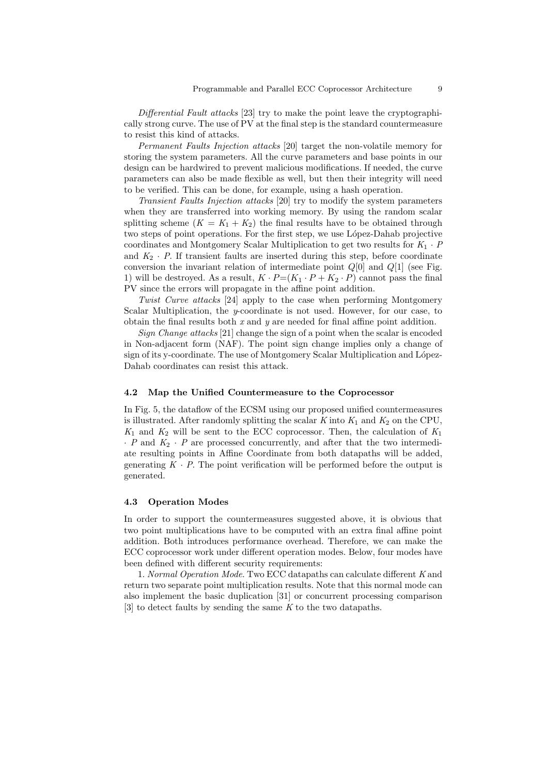Differential Fault attacks [23] try to make the point leave the cryptographically strong curve. The use of PV at the final step is the standard countermeasure to resist this kind of attacks.

Permanent Faults Injection attacks [20] target the non-volatile memory for storing the system parameters. All the curve parameters and base points in our design can be hardwired to prevent malicious modifications. If needed, the curve parameters can also be made flexible as well, but then their integrity will need to be verified. This can be done, for example, using a hash operation.

Transient Faults Injection attacks [20] try to modify the system parameters when they are transferred into working memory. By using the random scalar splitting scheme  $(K = K_1 + K_2)$  the final results have to be obtained through two steps of point operations. For the first step, we use López-Dahab projective coordinates and Montgomery Scalar Multiplication to get two results for  $K_1 \cdot P$ and  $K_2 \cdot P$ . If transient faults are inserted during this step, before coordinate conversion the invariant relation of intermediate point  $Q[0]$  and  $Q[1]$  (see Fig. 1) will be destroyed. As a result,  $K \cdot P = (K_1 \cdot P + K_2 \cdot P)$  cannot pass the final PV since the errors will propagate in the affine point addition.

Twist Curve attacks [24] apply to the case when performing Montgomery Scalar Multiplication, the y-coordinate is not used. However, for our case, to obtain the final results both  $x$  and  $y$  are needed for final affine point addition.

Sign Change attacks [21] change the sign of a point when the scalar is encoded in Non-adjacent form (NAF). The point sign change implies only a change of sign of its y-coordinate. The use of Montgomery Scalar Multiplication and López-Dahab coordinates can resist this attack.

#### 4.2 Map the Unified Countermeasure to the Coprocessor

In Fig. 5, the dataflow of the ECSM using our proposed unified countermeasures is illustrated. After randomly splitting the scalar K into  $K_1$  and  $K_2$  on the CPU,  $K_1$  and  $K_2$  will be sent to the ECC coprocessor. Then, the calculation of  $K_1$  $\cdot$  P and  $K_2$   $\cdot$  P are processed concurrently, and after that the two intermediate resulting points in Affine Coordinate from both datapaths will be added, generating  $K \cdot P$ . The point verification will be performed before the output is generated.

#### 4.3 Operation Modes

In order to support the countermeasures suggested above, it is obvious that two point multiplications have to be computed with an extra final affine point addition. Both introduces performance overhead. Therefore, we can make the ECC coprocessor work under different operation modes. Below, four modes have been defined with different security requirements:

1. Normal Operation Mode. Two ECC datapaths can calculate different K and return two separate point multiplication results. Note that this normal mode can also implement the basic duplication [31] or concurrent processing comparison [3] to detect faults by sending the same K to the two datapaths.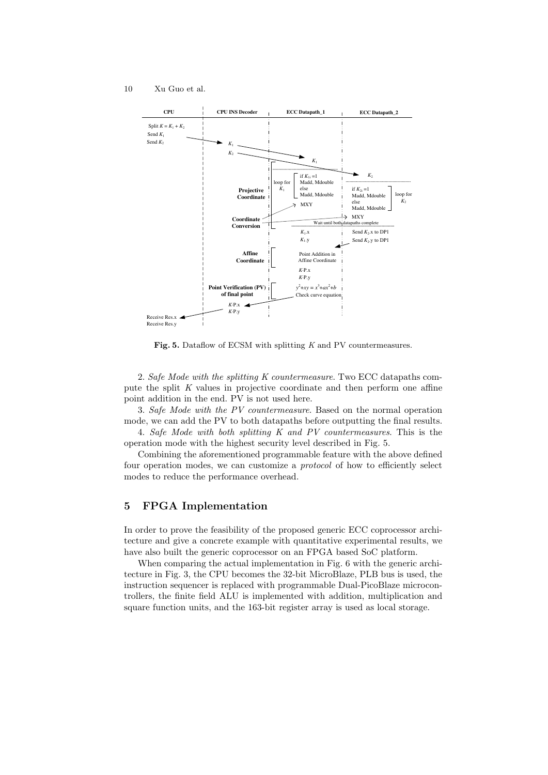

Fig. 5. Dataflow of ECSM with splitting K and PV countermeasures.

2. Safe Mode with the splitting K countermeasure. Two ECC datapaths compute the split K values in projective coordinate and then perform one affine point addition in the end. PV is not used here.

3. Safe Mode with the PV countermeasure. Based on the normal operation mode, we can add the PV to both datapaths before outputting the final results.

4. Safe Mode with both splitting K and PV countermeasures. This is the operation mode with the highest security level described in Fig. 5.

Combining the aforementioned programmable feature with the above defined four operation modes, we can customize a protocol of how to efficiently select modes to reduce the performance overhead.

## 5 FPGA Implementation

In order to prove the feasibility of the proposed generic ECC coprocessor architecture and give a concrete example with quantitative experimental results, we have also built the generic coprocessor on an FPGA based SoC platform.

When comparing the actual implementation in Fig. 6 with the generic architecture in Fig. 3, the CPU becomes the 32-bit MicroBlaze, PLB bus is used, the instruction sequencer is replaced with programmable Dual-PicoBlaze microcontrollers, the finite field ALU is implemented with addition, multiplication and square function units, and the 163-bit register array is used as local storage.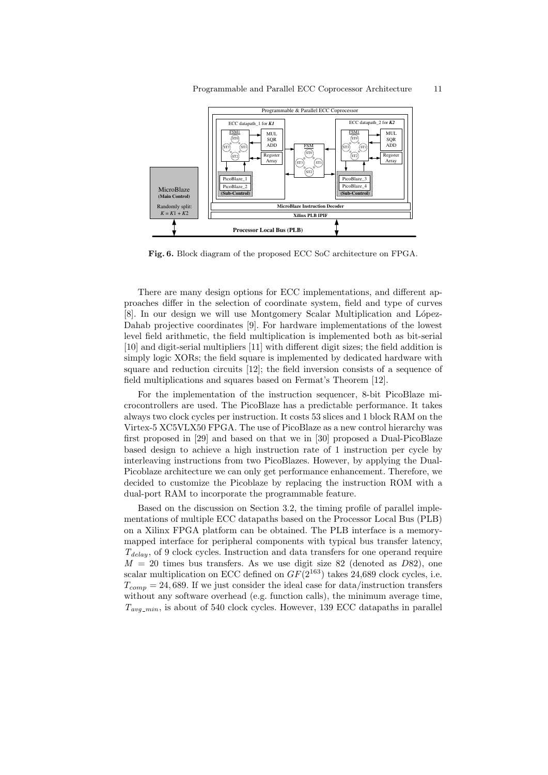

Fig. 6. Block diagram of the proposed ECC SoC architecture on FPGA.

There are many design options for ECC implementations, and different approaches differ in the selection of coordinate system, field and type of curves [8]. In our design we will use Montgomery Scalar Multiplication and López-Dahab projective coordinates [9]. For hardware implementations of the lowest level field arithmetic, the field multiplication is implemented both as bit-serial [10] and digit-serial multipliers [11] with different digit sizes; the field addition is simply logic XORs; the field square is implemented by dedicated hardware with square and reduction circuits [12]; the field inversion consists of a sequence of field multiplications and squares based on Fermat's Theorem [12].

For the implementation of the instruction sequencer, 8-bit PicoBlaze microcontrollers are used. The PicoBlaze has a predictable performance. It takes always two clock cycles per instruction. It costs 53 slices and 1 block RAM on the Virtex-5 XC5VLX50 FPGA. The use of PicoBlaze as a new control hierarchy was first proposed in [29] and based on that we in [30] proposed a Dual-PicoBlaze based design to achieve a high instruction rate of 1 instruction per cycle by interleaving instructions from two PicoBlazes. However, by applying the Dual-Picoblaze architecture we can only get performance enhancement. Therefore, we decided to customize the Picoblaze by replacing the instruction ROM with a dual-port RAM to incorporate the programmable feature.

Based on the discussion on Section 3.2, the timing profile of parallel implementations of multiple ECC datapaths based on the Processor Local Bus (PLB) on a Xilinx FPGA platform can be obtained. The PLB interface is a memorymapped interface for peripheral components with typical bus transfer latency,  $T_{delay}$ , of 9 clock cycles. Instruction and data transfers for one operand require  $M = 20$  times bus transfers. As we use digit size 82 (denoted as D82), one scalar multiplication on ECC defined on  $GF(2^{163})$  takes 24,689 clock cycles, i.e.  $T_{comp} = 24,689$ . If we just consider the ideal case for data/instruction transfers without any software overhead (e.g. function calls), the minimum average time,  $T_{\textit{avg-min}}$ , is about of 540 clock cycles. However, 139 ECC datapaths in parallel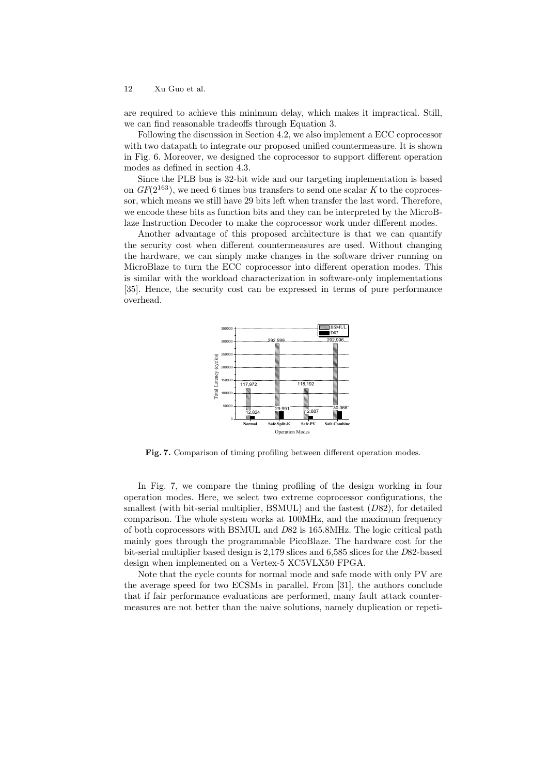are required to achieve this minimum delay, which makes it impractical. Still, we can find reasonable tradeoffs through Equation 3.

Following the discussion in Section 4.2, we also implement a ECC coprocessor with two datapath to integrate our proposed unified countermeasure. It is shown in Fig. 6. Moreover, we designed the coprocessor to support different operation modes as defined in section 4.3.

Since the PLB bus is 32-bit wide and our targeting implementation is based on  $GF(2^{163})$ , we need 6 times bus transfers to send one scalar K to the coprocessor, which means we still have 29 bits left when transfer the last word. Therefore, we encode these bits as function bits and they can be interpreted by the MicroBlaze Instruction Decoder to make the coprocessor work under different modes.

Another advantage of this proposed architecture is that we can quantify the security cost when different countermeasures are used. Without changing the hardware, we can simply make changes in the software driver running on MicroBlaze to turn the ECC coprocessor into different operation modes. This is similar with the workload characterization in software-only implementations [35]. Hence, the security cost can be expressed in terms of pure performance overhead.



Fig. 7. Comparison of timing profiling between different operation modes.

In Fig. 7, we compare the timing profiling of the design working in four operation modes. Here, we select two extreme coprocessor configurations, the smallest (with bit-serial multiplier, BSMUL) and the fastest  $(D82)$ , for detailed comparison. The whole system works at 100MHz, and the maximum frequency of both coprocessors with BSMUL and D82 is 165.8MHz. The logic critical path mainly goes through the programmable PicoBlaze. The hardware cost for the bit-serial multiplier based design is 2,179 slices and 6,585 slices for the D82-based design when implemented on a Vertex-5 XC5VLX50 FPGA.

Note that the cycle counts for normal mode and safe mode with only PV are the average speed for two ECSMs in parallel. From [31], the authors conclude that if fair performance evaluations are performed, many fault attack countermeasures are not better than the naive solutions, namely duplication or repeti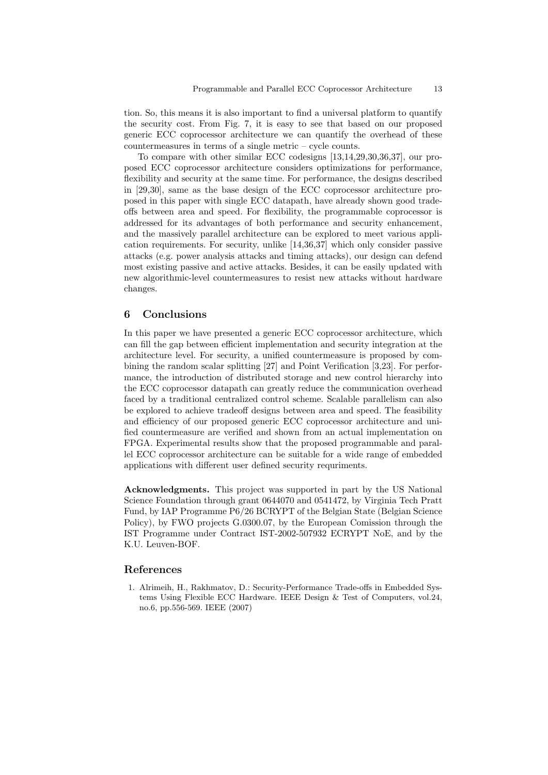tion. So, this means it is also important to find a universal platform to quantify the security cost. From Fig. 7, it is easy to see that based on our proposed generic ECC coprocessor architecture we can quantify the overhead of these countermeasures in terms of a single metric – cycle counts.

To compare with other similar ECC codesigns [13,14,29,30,36,37], our proposed ECC coprocessor architecture considers optimizations for performance, flexibility and security at the same time. For performance, the designs described in [29,30], same as the base design of the ECC coprocessor architecture proposed in this paper with single ECC datapath, have already shown good tradeoffs between area and speed. For flexibility, the programmable coprocessor is addressed for its advantages of both performance and security enhancement, and the massively parallel architecture can be explored to meet various application requirements. For security, unlike [14,36,37] which only consider passive attacks (e.g. power analysis attacks and timing attacks), our design can defend most existing passive and active attacks. Besides, it can be easily updated with new algorithmic-level countermeasures to resist new attacks without hardware changes.

# 6 Conclusions

In this paper we have presented a generic ECC coprocessor architecture, which can fill the gap between efficient implementation and security integration at the architecture level. For security, a unified countermeasure is proposed by combining the random scalar splitting [27] and Point Verification [3,23]. For performance, the introduction of distributed storage and new control hierarchy into the ECC coprocessor datapath can greatly reduce the communication overhead faced by a traditional centralized control scheme. Scalable parallelism can also be explored to achieve tradeoff designs between area and speed. The feasibility and efficiency of our proposed generic ECC coprocessor architecture and unified countermeasure are verified and shown from an actual implementation on FPGA. Experimental results show that the proposed programmable and parallel ECC coprocessor architecture can be suitable for a wide range of embedded applications with different user defined security requriments.

Acknowledgments. This project was supported in part by the US National Science Foundation through grant 0644070 and 0541472, by Virginia Tech Pratt Fund, by IAP Programme P6/26 BCRYPT of the Belgian State (Belgian Science Policy), by FWO projects G.0300.07, by the European Comission through the IST Programme under Contract IST-2002-507932 ECRYPT NoE, and by the K.U. Leuven-BOF.

#### References

1. Alrimeih, H., Rakhmatov, D.: Security-Performance Trade-offs in Embedded Systems Using Flexible ECC Hardware. IEEE Design & Test of Computers, vol.24, no.6, pp.556-569. IEEE (2007)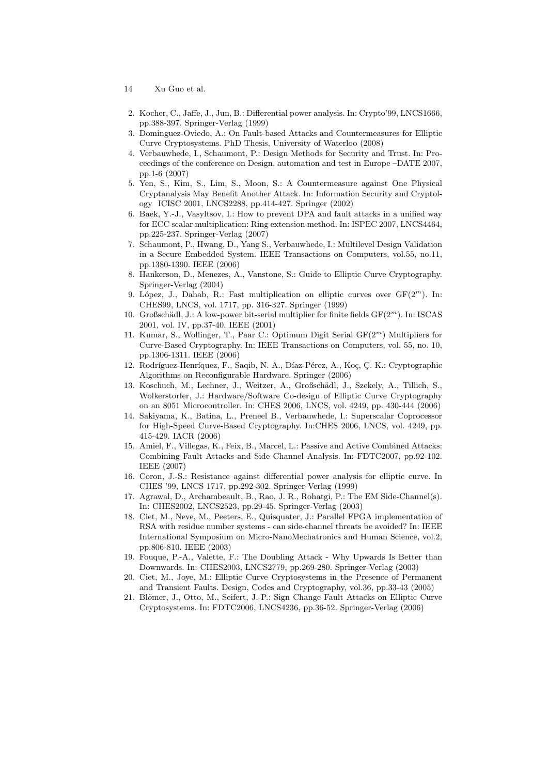- 14 Xu Guo et al.
- 2. Kocher, C., Jaffe, J., Jun, B.: Differential power analysis. In: Crypto'99, LNCS1666, pp.388-397. Springer-Verlag (1999)
- 3. Dominguez-Oviedo, A.: On Fault-based Attacks and Countermeasures for Elliptic Curve Cryptosystems. PhD Thesis, University of Waterloo (2008)
- 4. Verbauwhede, I., Schaumont, P.: Design Methods for Security and Trust. In: Proceedings of the conference on Design, automation and test in Europe –DATE 2007, pp.1-6 (2007)
- 5. Yen, S., Kim, S., Lim, S., Moon, S.: A Countermeasure against One Physical Cryptanalysis May Benefit Another Attack. In: Information Security and Cryptology ICISC 2001, LNCS2288, pp.414-427. Springer (2002)
- 6. Baek, Y.-J., Vasyltsov, I.: How to prevent DPA and fault attacks in a unified way for ECC scalar multiplication: Ring extension method. In: ISPEC 2007, LNCS4464, pp.225-237. Springer-Verlag (2007)
- 7. Schaumont, P., Hwang, D., Yang S., Verbauwhede, I.: Multilevel Design Validation in a Secure Embedded System. IEEE Transactions on Computers, vol.55, no.11, pp.1380-1390. IEEE (2006)
- 8. Hankerson, D., Menezes, A., Vanstone, S.: Guide to Elliptic Curve Cryptography. Springer-Verlag (2004)
- 9. López, J., Dahab, R.: Fast multiplication on elliptic curves over  $GF(2<sup>m</sup>)$ . In: CHES99, LNCS, vol. 1717, pp. 316-327. Springer (1999)
- 10. Großschädl, J.: A low-power bit-serial multiplier for finite fields  $GF(2<sup>m</sup>)$ . In: ISCAS 2001, vol. IV, pp.37-40. IEEE (2001)
- 11. Kumar, S., Wollinger, T., Paar C.: Optimum Digit Serial GF(2<sup>m</sup>) Multipliers for Curve-Based Cryptography. In: IEEE Transactions on Computers, vol. 55, no. 10, pp.1306-1311. IEEE (2006)
- 12. Rodríguez-Henríquez, F., Saqib, N. A., Díaz-Pérez, A., Koç, Ç. K.: Cryptographic Algorithms on Reconfigurable Hardware. Springer (2006)
- 13. Koschuch, M., Lechner, J., Weitzer, A., Großschädl, J., Szekely, A., Tillich, S., Wolkerstorfer, J.: Hardware/Software Co-design of Elliptic Curve Cryptography on an 8051 Microcontroller. In: CHES 2006, LNCS, vol. 4249, pp. 430-444 (2006)
- 14. Sakiyama, K., Batina, L., Preneel B., Verbauwhede, I.: Superscalar Coprocessor for High-Speed Curve-Based Cryptography. In:CHES 2006, LNCS, vol. 4249, pp. 415-429. IACR (2006)
- 15. Amiel, F., Villegas, K., Feix, B., Marcel, L.: Passive and Active Combined Attacks: Combining Fault Attacks and Side Channel Analysis. In: FDTC2007, pp.92-102. IEEE (2007)
- 16. Coron, J.-S.: Resistance against differential power analysis for elliptic curve. In CHES '99, LNCS 1717, pp.292-302. Springer-Verlag (1999)
- 17. Agrawal, D., Archambeault, B., Rao, J. R., Rohatgi, P.: The EM Side-Channel(s). In: CHES2002, LNCS2523, pp.29-45. Springer-Verlag (2003)
- 18. Ciet, M., Neve, M., Peeters, E., Quisquater, J.: Parallel FPGA implementation of RSA with residue number systems - can side-channel threats be avoided? In: IEEE International Symposium on Micro-NanoMechatronics and Human Science, vol.2, pp.806-810. IEEE (2003)
- 19. Fouque, P.-A., Valette, F.: The Doubling Attack Why Upwards Is Better than Downwards. In: CHES2003, LNCS2779, pp.269-280. Springer-Verlag (2003)
- 20. Ciet, M., Joye, M.: Elliptic Curve Cryptosystems in the Presence of Permanent and Transient Faults. Design, Codes and Cryptography, vol.36, pp.33-43 (2005)
- 21. Blömer, J., Otto, M., Seifert, J.-P.: Sign Change Fault Attacks on Elliptic Curve Cryptosystems. In: FDTC2006, LNCS4236, pp.36-52. Springer-Verlag (2006)